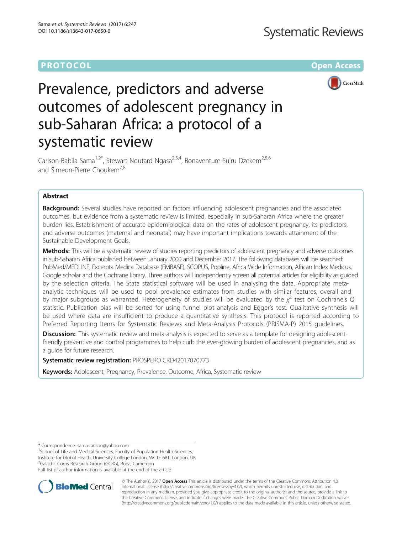# **PROTOCOL CONSUMING THE CONSUMING TEACHER CONSUMING THE CONSUMING TEACHER CONSUMING THE CONSUMING TEACHER CONSUMING**



# Prevalence, predictors and adverse outcomes of adolescent pregnancy in sub-Saharan Africa: a protocol of a systematic review

Carlson-Babila Sama<sup>1,2\*</sup>, Stewart Ndutard Ngasa<sup>2,3,4</sup>, Bonaventure Suiru Dzekem<sup>2,5,6</sup> and Simeon-Pierre Choukem<sup>7,8</sup>

# Abstract

**Background:** Several studies have reported on factors influencing adolescent pregnancies and the associated outcomes, but evidence from a systematic review is limited, especially in sub-Saharan Africa where the greater burden lies. Establishment of accurate epidemiological data on the rates of adolescent pregnancy, its predictors, and adverse outcomes (maternal and neonatal) may have important implications towards attainment of the Sustainable Development Goals.

Methods: This will be a systematic review of studies reporting predictors of adolescent pregnancy and adverse outcomes in sub-Saharan Africa published between January 2000 and December 2017. The following databases will be searched: PubMed/MEDLINE, Excerpta Medica Database (EMBASE), SCOPUS, Popline, Africa Wide Information, African Index Medicus, Google scholar and the Cochrane library. Three authors will independently screen all potential articles for eligibility as guided by the selection criteria. The Stata statistical software will be used in analysing the data. Appropriate metaanalytic techniques will be used to pool prevalence estimates from studies with similar features, overall and by major subgroups as warranted. Heterogeneity of studies will be evaluated by the  $\chi^2$  test on Cochrane's Q statistic. Publication bias will be sorted for using funnel plot analysis and Egger's test. Qualitative synthesis will be used where data are insufficient to produce a quantitative synthesis. This protocol is reported according to Preferred Reporting Items for Systematic Reviews and Meta-Analysis Protocols (PRISMA-P) 2015 guidelines.

Discussion: This systematic review and meta-analysis is expected to serve as a template for designing adolescentfriendly preventive and control programmes to help curb the ever-growing burden of adolescent pregnancies, and as a guide for future research.

Systematic review registration: PROSPERO [CRD42017070773](https://www.crd.york.ac.uk/prospero/display_record.php?RecordID=70773)

Keywords: Adolescent, Pregnancy, Prevalence, Outcome, Africa, Systematic review

\* Correspondence: [sama.carlson@yahoo.com](mailto:sama.carlson@yahoo.com) <sup>1</sup>

<sup>1</sup>School of Life and Medical Sciences, Faculty of Population Health Sciences,

Institute for Global Health, University College London, WC1E 6BT, London, UK <sup>2</sup>Galactic Corps Research Group (GCRG), Buea, Cameroon

Full list of author information is available at the end of the article



© The Author(s). 2017 **Open Access** This article is distributed under the terms of the Creative Commons Attribution 4.0 International License [\(http://creativecommons.org/licenses/by/4.0/](http://creativecommons.org/licenses/by/4.0/)), which permits unrestricted use, distribution, and reproduction in any medium, provided you give appropriate credit to the original author(s) and the source, provide a link to the Creative Commons license, and indicate if changes were made. The Creative Commons Public Domain Dedication waiver [\(http://creativecommons.org/publicdomain/zero/1.0/](http://creativecommons.org/publicdomain/zero/1.0/)) applies to the data made available in this article, unless otherwise stated.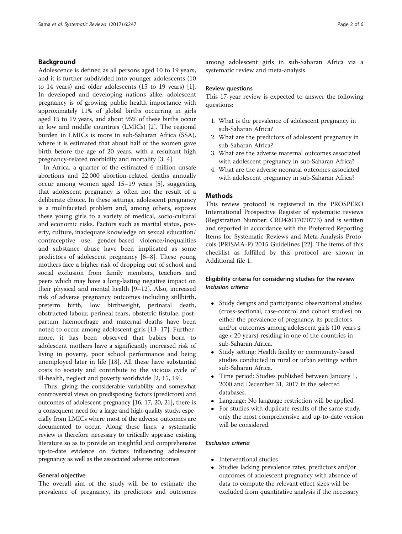#### Background

Adolescence is defined as all persons aged 10 to 19 years, and it is further subdivided into younger adolescents (10 to 14 years) and older adolescents (15 to 19 years) [\[1](#page-4-0)]. In developed and developing nations alike, adolescent pregnancy is of growing public health importance with approximately 11% of global births occurring in girls aged 15 to 19 years, and about 95% of these births occur in low and middle countries (LMICs) [\[2\]](#page-5-0). The regional burden in LMICs is more in sub-Saharan Africa (SSA), where it is estimated that about half of the women gave birth before the age of 20 years, with a resultant high pregnancy-related morbidity and mortality [\[3](#page-5-0), [4](#page-5-0)].

In Africa, a quarter of the estimated 6 million unsafe abortions and 22,000 abortion-related deaths annually occur among women aged 15–19 years [\[5](#page-5-0)], suggesting that adolescent pregnancy is often not the result of a deliberate choice. In these settings, adolescent pregnancy is a multifaceted problem and, among others, exposes these young girls to a variety of medical, socio-cultural and economic risks. Factors such as marital status, poverty, culture, inadequate knowledge on sexual education/ contraceptive use, gender-based violence/inequalities and substance abuse have been implicated as some predictors of adolescent pregnancy [\[6](#page-5-0)–[8](#page-5-0)]. These young mothers face a higher risk of dropping out of school and social exclusion from family members, teachers and peers which may have a long-lasting negative impact on their physical and mental health [\[9](#page-5-0)–[12\]](#page-5-0). Also, increased risk of adverse pregnancy outcomes including stillbirth, preterm birth, low birthweight, perinatal death, obstructed labour, perineal tears, obstetric fistulae, postpartum haemorrhage and maternal deaths have been noted to occur among adolescent girls [\[13](#page-5-0)–[17\]](#page-5-0). Furthermore, it has been observed that babies born to adolescent mothers have a significantly increased risk of living in poverty, poor school performance and being unemployed later in life [\[18](#page-5-0)]. All these have substantial costs to society and contribute to the vicious cycle of ill-health, neglect and poverty worldwide [\[2](#page-5-0), [15](#page-5-0), [19\]](#page-5-0).

Thus, giving the considerable variability and somewhat controversial views on predisposing factors (predictors) and outcomes of adolescent pregnancy [[16, 17, 20](#page-5-0), [21\]](#page-5-0), there is a consequent need for a large and high-quality study, especially from LMICs where most of the adverse outcomes are documented to occur. Along these lines, a systematic review is therefore necessary to critically appraise existing literature so as to provide an insightful and comprehensive up-to-date evidence on factors influencing adolescent pregnancy as well as the associated adverse outcomes.

#### General objective

The overall aim of the study will be to estimate the prevalence of pregnancy, its predictors and outcomes among adolescent girls in sub-Saharan Africa via a systematic review and meta-analysis.

#### Review questions

This 17-year review is expected to answer the following questions:

- 1. What is the prevalence of adolescent pregnancy in sub-Saharan Africa?
- 2. What are the predictors of adolescent pregnancy in sub-Saharan Africa?
- 3. What are the adverse maternal outcomes associated with adolescent pregnancy in sub-Saharan Africa?
- 4. What are the adverse neonatal outcomes associated with adolescent pregnancy in sub-Saharan Africa?

#### **Methods**

This review protocol is registered in the PROSPERO International Prospective Register of systematic reviews (Registration Number: CRD42017070773) and is written and reported in accordance with the Preferred Reporting Items for Systematic Reviews and Meta-Analysis Protocols (PRISMA-P) 2015 Guidelines [\[22](#page-5-0)]. The items of this checklist as fulfilled by this protocol are shown in Additional file [1](#page-4-0).

### Eligibility criteria for considering studies for the review Inclusion criteria

- Study designs and participants: observational studies (cross-sectional, case-control and cohort studies) on either the prevalence of pregnancy, its predictors and/or outcomes among adolescent girls (10 years ≤ age < 20 years) residing in one of the countries in sub-Saharan Africa.
- Study setting: Health facility or community-based studies conducted in rural or urban settings within sub-Saharan Africa.
- Time period: Studies published between January 1, 2000 and December 31, 2017 in the selected databases.
- Language: No language restriction will be applied.
- For studies with duplicate results of the same study, only the most comprehensive and up-to-date version will be considered.

# Exclusion criteria

- Interventional studies
- Studies lacking prevalence rates, predictors and/or outcomes of adolescent pregnancy with absence of data to compute the relevant effect sizes will be excluded from quantitative analysis if the necessary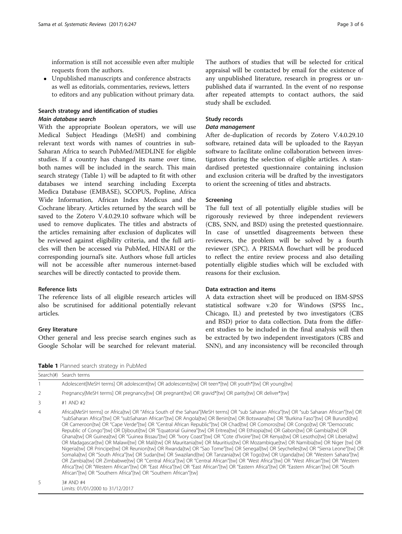information is still not accessible even after multiple requests from the authors.

 Unpublished manuscripts and conference abstracts as well as editorials, commentaries, reviews, letters to editors and any publication without primary data.

# Search strategy and identification of studies Main database search

With the appropriate Boolean operators, we will use Medical Subject Headings (MeSH) and combining relevant text words with names of countries in sub-Saharan Africa to search PubMed/MEDLINE for eligible studies. If a country has changed its name over time, both names will be included in the search. This main search strategy (Table 1) will be adapted to fit with other databases we intend searching including Excerpta Medica Database (EMBASE), SCOPUS, Popline, Africa Wide Information, African Index Medicus and the Cochrane library. Articles returned by the search will be saved to the Zotero V.4.0.29.10 software which will be used to remove duplicates. The titles and abstracts of the articles remaining after exclusion of duplicates will be reviewed against eligibility criteria, and the full articles will then be accessed via PubMed, HINARI or the corresponding journal's site. Authors whose full articles will not be accessible after numerous internet-based searches will be directly contacted to provide them.

# Reference lists

The reference lists of all eligible research articles will also be scrutinised for additional potentially relevant articles.

# Grey literature

Other general and less precise search engines such as Google Scholar will be searched for relevant material.

The authors of studies that will be selected for critical appraisal will be contacted by email for the existence of any unpublished literature, research in progress or unpublished data if warranted. In the event of no response after repeated attempts to contact authors, the said study shall be excluded.

# Study records

### Data management

After de-duplication of records by Zotero V.4.0.29.10 software, retained data will be uploaded to the Rayyan software to facilitate online collaboration between investigators during the selection of eligible articles. A standardised pretested questionnaire containing inclusion and exclusion criteria will be drafted by the investigators to orient the screening of titles and abstracts.

# Screening

The full text of all potentially eligible studies will be rigorously reviewed by three independent reviewers (CBS, SNN, and BSD) using the pretested questionnaire. In case of unsettled disagreements between these reviewers, the problem will be solved by a fourth reviewer (SPC). A PRISMA flowchart will be produced to reflect the entire review process and also detailing potentially eligible studies which will be excluded with reasons for their exclusion.

# Data extraction and items

A data extraction sheet will be produced on IBM-SPSS statistical software v.20 for Windows (SPSS Inc., Chicago, IL) and pretested by two investigators (CBS and BSD) prior to data collection. Data from the different studies to be included in the final analysis will then be extracted by two independent investigators (CBS and SNN), and any inconsistency will be reconciled through

Table 1 Planned search strategy in PubMed

|                | <b>I WINTE I</b> THAT THE SECTION STRIKE OF THE MOTHER                                                                                                                                                                                                                                                                                                                                                                                                                                                                                                                                                                                                                                                                                                                                                                                                                                                                                                                                                                                                                                                                                                                                                                                                                                                                                                                                                                                                                   |  |  |  |  |  |
|----------------|--------------------------------------------------------------------------------------------------------------------------------------------------------------------------------------------------------------------------------------------------------------------------------------------------------------------------------------------------------------------------------------------------------------------------------------------------------------------------------------------------------------------------------------------------------------------------------------------------------------------------------------------------------------------------------------------------------------------------------------------------------------------------------------------------------------------------------------------------------------------------------------------------------------------------------------------------------------------------------------------------------------------------------------------------------------------------------------------------------------------------------------------------------------------------------------------------------------------------------------------------------------------------------------------------------------------------------------------------------------------------------------------------------------------------------------------------------------------------|--|--|--|--|--|
|                | Search(#) Search terms                                                                                                                                                                                                                                                                                                                                                                                                                                                                                                                                                                                                                                                                                                                                                                                                                                                                                                                                                                                                                                                                                                                                                                                                                                                                                                                                                                                                                                                   |  |  |  |  |  |
|                | Adolescent[MeSH terms] OR adolescent[tw] OR adolescents[tw] OR teen*[tw] OR youth*[tw] OR young[tw]                                                                                                                                                                                                                                                                                                                                                                                                                                                                                                                                                                                                                                                                                                                                                                                                                                                                                                                                                                                                                                                                                                                                                                                                                                                                                                                                                                      |  |  |  |  |  |
| 2              | Pregnancy[MeSH terms] OR pregnancy[tw] OR pregnant[tw] OR gravid*[tw] OR parity[tw] OR deliver*[tw]                                                                                                                                                                                                                                                                                                                                                                                                                                                                                                                                                                                                                                                                                                                                                                                                                                                                                                                                                                                                                                                                                                                                                                                                                                                                                                                                                                      |  |  |  |  |  |
| 3              | #1 AND #2                                                                                                                                                                                                                                                                                                                                                                                                                                                                                                                                                                                                                                                                                                                                                                                                                                                                                                                                                                                                                                                                                                                                                                                                                                                                                                                                                                                                                                                                |  |  |  |  |  |
| $\overline{4}$ | Africa[MeSH terms] or Africa[tw] OR "Africa South of the Sahara"[MeSH terms] OR "sub Saharan Africa"[tw] OR "sub Saharan African"[tw] OR<br>"subSaharan Africa"[tw] OR "subSaharan African"[tw] OR Angola[tw] OR Benin[tw] OR Botswana[tw] OR "Burkina Faso"[tw] OR Burundi[tw]<br>OR Cameroon[tw] OR "Cape Verde"[tw] OR "Central African Republic"[tw] OR Chad[tw] OR Comoros[tw] OR Congo[tw] OR "Democratic<br>Republic of Congo"[tw] OR Djibouti[tw] OR "Equatorial Guinea"[tw] OR Eritrea[tw] OR Ethiopia[tw] OR Gabon[tw] OR Gambia[tw] OR<br>Ghana[tw] OR Guinea[tw] OR "Guinea Bissau"[tw] OR "Ivory Coast"[tw] OR "Cote d'Ivoire"[tw] OR Kenya[tw] OR Lesotho[tw] OR Liberia[tw]<br>OR Madagascar[tw] OR Malawi[tw] OR Mali[tw] OR Mauritania[tw] OR Mauritius[tw] OR Mozambigue[tw] OR Namibia[tw] OR Niger [tw] OR<br>Nigeria[tw] OR Principe[tw] OR Reunion[tw] OR Rwanda[tw] OR "Sao Tome"[tw] OR Senegal[tw] OR Seychelles[tw] OR "Sierra Leone"[tw] OR<br>Somalia[tw] OR "South Africa"[tw] OR Sudan[tw] OR Swaziland[tw] OR Tanzania[tw] OR Togo[tw] OR Uganda[tw] OR "Western Sahara"[tw]<br>OR Zambia[tw] OR Zimbabwe[tw] OR "Central Africa"[tw] OR "Central African"[tw] OR "West Africa"[tw] OR "West African"[tw] OR "Western<br>Africa"[tw] OR "Western African"[tw] OR "East Africa"[tw] OR "East African"[tw] OR "Eastern Africa"[tw] OR "Eastern African"[tw] OR "South<br>African" [tw] OR "Southern Africa" [tw] OR "Southern African" [tw] |  |  |  |  |  |

5 3# AND #4 Limits: 01/01/2000 to 31/12/2017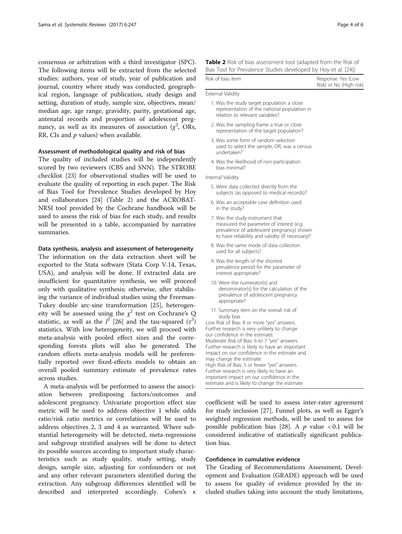consensus or arbitration with a third investigator (SPC). The following items will be extracted from the selected studies: authors, year of study, year of publication and journal, country where study was conducted, geographical region, language of publication, study design and setting, duration of study, sample size, objectives, mean/ median age, age range, gravidity, parity, gestational age, antenatal records and proportion of adolescent pregnancy, as well as its measures of association  $(\chi^2, \text{ ORs}, \text{ ORs})$ RR, CIs and  $p$  values) when available.

#### Assessment of methodological quality and risk of bias

The quality of included studies will be independently scored by two reviewers (CBS and SNN). The STROBE checklist [\[23\]](#page-5-0) for observational studies will be used to evaluate the quality of reporting in each paper. The Risk of Bias Tool for Prevalence Studies developed by Hoy and collaborators [\[24\]](#page-5-0) (Table 2) and the ACROBAT-NRSI tool provided by the Cochrane handbook will be used to assess the risk of bias for each study, and results will be presented in a table, accompanied by narrative summaries.

#### Data synthesis, analysis and assessment of heterogeneity

The information on the data extraction sheet will be exported to the Stata software (Stata Corp V.14, Texas, USA), and analysis will be done. If extracted data are insufficient for quantitative synthesis, we will proceed only with qualitative synthesis; otherwise, after stabilising the variance of individual studies using the Freeman-Tukey double arc-sine transformation [\[25\]](#page-5-0), heterogeneity will be assessed using the  $\chi^2$  test on Cochrane's Q statistic, as well as the  $I^2$  [\[26](#page-5-0)] and the tau-squared  $(\tau^2)$ statistics. With low heterogeneity, we will proceed with meta-analysis with pooled effect sizes and the corresponding forests plots will also be generated. The random effects meta-analysis models will be preferentially reported over fixed-effects models to obtain an overall pooled summary estimate of prevalence rates across studies.

A meta-analysis will be performed to assess the association between predisposing factors/outcomes and adolescent pregnancy. Univariate proportion effect size metric will be used to address objective 1 while odds ratio/risk ratio metrics or correlations will be used to address objectives 2, 3 and 4 as warranted. Where substantial heterogeneity will be detected, meta-regressions and subgroup stratified analyses will be done to detect its possible sources according to important study characteristics such as study quality, study setting, study design, sample size, adjusting for confounders or not and any other relevant parameters identified during the extraction. Any subgroup differences identified will be described and interpreted accordingly. Cohen's  $\kappa$ 

|  | Table 2 Risk of bias assessment tool (adapted from the Risk of |  |  |  |
|--|----------------------------------------------------------------|--|--|--|
|  | Bias Tool for Prevalence Studies developed by Hoy et al. [24]) |  |  |  |

| Risk of bias item | Response: Yes (Low<br>Risk) or No (High risk) |
|-------------------|-----------------------------------------------|
|                   |                                               |

| 1. Was the study target population a close   |
|----------------------------------------------|
| representation of the national population in |
| relation to relevant variables?              |

- 2. Was the sampling frame a true or close representation of the target population?
- 3. Was some form of random selection used to select the sample, OR, was a census undertaken?
- 4. Was the likelihood of non-participation bias minimal?

Internal Validity

External Validity

- 5. Were data collected directly from the subjects (as opposed to medical records)?
- 6. Was an acceptable case definition used in the study?
- 7. Was the study instrument that measured the parameter of interest (e.g. prevalence of adolescent pregnancy) shown to have reliability and validity (if necessary)?
- 8. Was the same mode of data collection used for all subjects?
- 9. Was the length of the shortest prevalence period for the parameter of interest appropriate?
- 10. Were the numerator(s) and denominator(s) for the calculation of the prevalence of adolescent pregnancy appropriate?
- 11. Summary item on the overall risk of study bias

Low Risk of Bias: 8 or more "yes" answers. Further research is very unlikely to change our confidence in the estimate. Moderate Risk of Bias: 6 to 7 "yes" answers. Further research is likely to have an important impact on our confidence in the estimate and may change the estimate. High Risk of Bias: 5 or fewer "yes" answers. Further research is very likely to have an important impact on our confidence in the estimate and is likely to change the estimate

coefficient will be used to assess inter-rater agreement for study inclusion [[27](#page-5-0)]. Funnel plots, as well as Egger's weighted regression methods, will be used to assess for possible publication bias [\[28\]](#page-5-0). A  $p$  value < 0.1 will be considered indicative of statistically significant publication bias.

# Confidence in cumulative evidence

The Grading of Recommendations Assessment, Development and Evaluation (GRADE) approach will be used to assess for quality of evidence provided by the included studies taking into account the study limitations,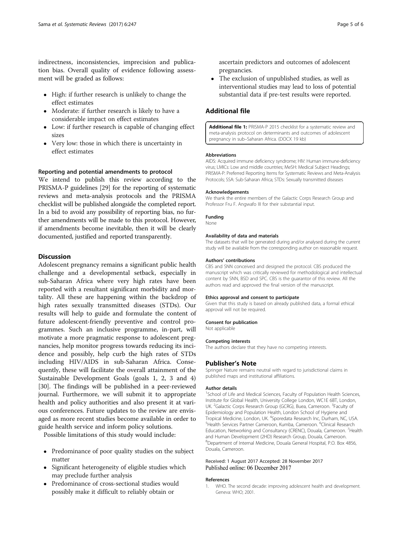<span id="page-4-0"></span>indirectness, inconsistencies, imprecision and publication bias. Overall quality of evidence following assessment will be graded as follows:

- High: if further research is unlikely to change the effect estimates
- Moderate: if further research is likely to have a considerable impact on effect estimates
- Low: if further research is capable of changing effect sizes
- Very low: those in which there is uncertainty in effect estimates

#### Reporting and potential amendments to protocol

We intend to publish this review according to the PRISMA-P guidelines [[29](#page-5-0)] for the reporting of systematic reviews and meta-analysis protocols and the PRISMA checklist will be published alongside the completed report. In a bid to avoid any possibility of reporting bias, no further amendments will be made to this protocol. However, if amendments become inevitable, then it will be clearly documented, justified and reported transparently.

#### **Discussion**

Adolescent pregnancy remains a significant public health challenge and a developmental setback, especially in sub-Saharan Africa where very high rates have been reported with a resultant significant morbidity and mortality. All these are happening within the backdrop of high rates sexually transmitted diseases (STDs). Our results will help to guide and formulate the content of future adolescent-friendly preventive and control programmes. Such an inclusive programme, in-part, will motivate a more pragmatic response to adolescent pregnancies, help monitor progress towards reducing its incidence and possibly, help curb the high rates of STDs including HIV/AIDS in sub-Saharan Africa. Consequently, these will facilitate the overall attainment of the Sustainable Development Goals (goals 1, 2, 3 and 4) [[30\]](#page-5-0). The findings will be published in a peer-reviewed journal. Furthermore, we will submit it to appropriate health and policy authorities and also present it at various conferences. Future updates to the review are envisaged as more recent studies become available in order to guide health service and inform policy solutions.

Possible limitations of this study would include:

- Predominance of poor quality studies on the subject matter
- Significant heterogeneity of eligible studies which may preclude further analysis
- Predominance of cross-sectional studies would possibly make it difficult to reliably obtain or

ascertain predictors and outcomes of adolescent pregnancies.

 The exclusion of unpublished studies, as well as interventional studies may lead to loss of potential substantial data if pre-test results were reported.

# Additional file

[Additional file 1:](dx.doi.org/10.1186/s13643-017-0650-0) PRISMA-P 2015 checklist for a systematic review and meta-analysis protocol on determinants and outcomes of adolescent pregnancy in sub–Saharan Africa. (DOCX 19 kb)

#### Abbreviations

AIDS: Acquired immune deficiency syndrome; HIV: Human immune-deficiency virus; LMICs: Low and middle countries; MeSH: Medical Subject Headings; PRISMA-P: Preferred Reporting Items for Systematic Reviews and Meta-Analysis Protocols; SSA: Sub-Saharan Africa; STDs: Sexually transmitted diseases

#### Acknowledgements

We thank the entire members of the Galactic Corps Research Group and Professor Fru F. Angwafo III for their substantial input.

#### Funding

None

#### Availability of data and materials

The datasets that will be generated during and/or analysed during the current study will be available from the corresponding author on reasonable request.

#### Authors' contributions

CBS and SNN conceived and designed the protocol. CBS produced the manuscript which was critically reviewed for methodological and intellectual content by SNN, BSD and SPC. CBS is the guarantor of this review. All the authors read and approved the final version of the manuscript.

#### Ethics approval and consent to participate

Given that this study is based on already published data, a formal ethical approval will not be required.

#### Consent for publication

Not applicable

#### Competing interests

The authors declare that they have no competing interests.

#### Publisher's Note

Springer Nature remains neutral with regard to jurisdictional claims in published maps and institutional affiliations.

#### Author details

<sup>1</sup>School of Life and Medical Sciences, Faculty of Population Health Sciences, Institute for Global Health, University College London, WC1E 6BT, London, UK. <sup>2</sup>Galactic Corps Research Group (GCRG), Buea, Cameroon. <sup>3</sup>Faculty of Epidemiology and Population Health, London School of Hygiene and Tropical Medicine, London, UK. <sup>4</sup>Sporedata Research Inc, Durham, NC, USA.<br><sup>5</sup>Hoalth Songica: Partner Cameroon, Kumba, Cameroon, <sup>6</sup>Clinical Pescarch. Health Services Partner Cameroon, Kumba, Cameroon. <sup>6</sup>Clinical Research Education, Networking and Consultancy (CRENC), Douala, Cameroon. <sup>7</sup>Health and Human Development (2HD) Research Group, Douala, Cameroon. 8 Department of Internal Medicine, Douala General Hospital, P.O. Box 4856, Douala, Cameroon.

#### Received: 1 August 2017 Accepted: 28 November 2017 Published online: 06 December 2017

#### References

1. WHO. The second decade: improving adolescent health and development. Geneva: WHO; 2001.